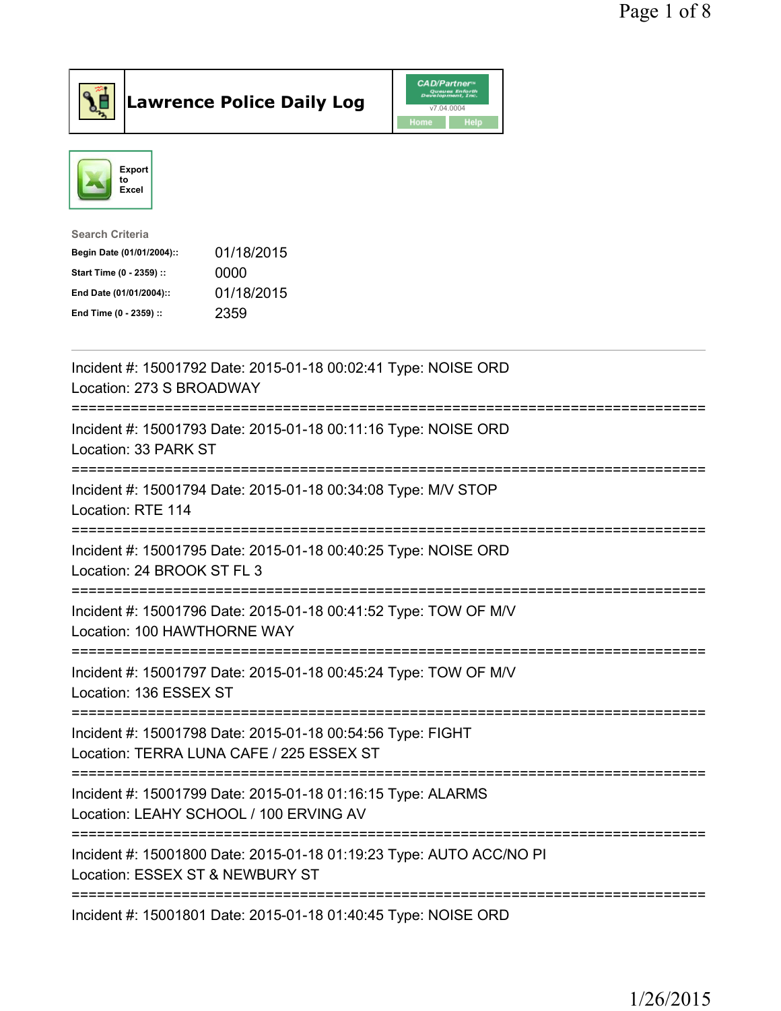



| Incident #: 15001792 Date: 2015-01-18 00:02:41 Type: NOISE ORD<br>Location: 273 S BROADWAY<br>=======                                                  |
|--------------------------------------------------------------------------------------------------------------------------------------------------------|
| Incident #: 15001793 Date: 2015-01-18 00:11:16 Type: NOISE ORD<br>Location: 33 PARK ST<br>===============<br>=========================                 |
| Incident #: 15001794 Date: 2015-01-18 00:34:08 Type: M/V STOP<br>Location: RTE 114<br>-------------------------                                        |
| Incident #: 15001795 Date: 2015-01-18 00:40:25 Type: NOISE ORD<br>Location: 24 BROOK ST FL 3<br>======================================<br>============ |
| Incident #: 15001796 Date: 2015-01-18 00:41:52 Type: TOW OF M/V<br>Location: 100 HAWTHORNE WAY                                                         |
| Incident #: 15001797 Date: 2015-01-18 00:45:24 Type: TOW OF M/V<br>Location: 136 ESSEX ST                                                              |
| Incident #: 15001798 Date: 2015-01-18 00:54:56 Type: FIGHT<br>Location: TERRA LUNA CAFE / 225 ESSEX ST<br>=================================            |
| Incident #: 15001799 Date: 2015-01-18 01:16:15 Type: ALARMS<br>Location: LEAHY SCHOOL / 100 ERVING AV<br>.================================             |
| Incident #: 15001800 Date: 2015-01-18 01:19:23 Type: AUTO ACC/NO PI<br>Location: ESSEX ST & NEWBURY ST                                                 |
| Incident #: 15001801 Date: 2015-01-18 01:40:45 Type: NOISE ORD                                                                                         |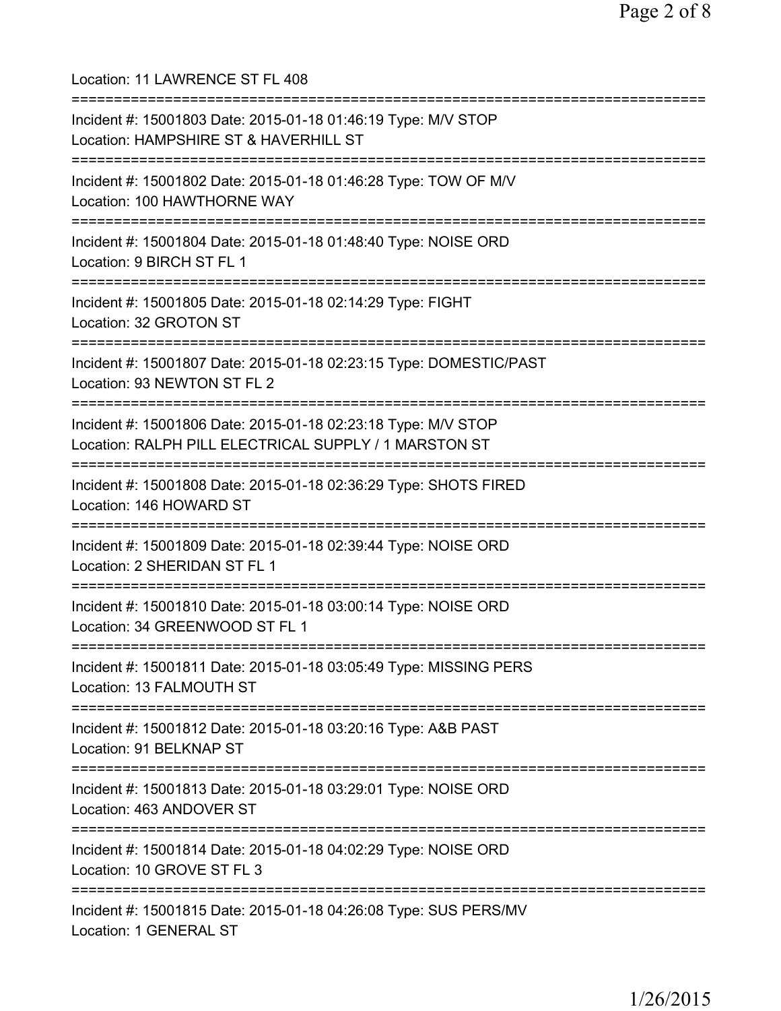Location: 11 LAWRENCE ST FL 408 =========================================================================== Incident #: 15001803 Date: 2015-01-18 01:46:19 Type: M/V STOP Location: HAMPSHIRE ST & HAVERHILL ST =========================================================================== Incident #: 15001802 Date: 2015-01-18 01:46:28 Type: TOW OF M/V Location: 100 HAWTHORNE WAY =========================================================================== Incident #: 15001804 Date: 2015-01-18 01:48:40 Type: NOISE ORD Location: 9 BIRCH ST FL 1 =========================================================================== Incident #: 15001805 Date: 2015-01-18 02:14:29 Type: FIGHT Location: 32 GROTON ST =========================================================================== Incident #: 15001807 Date: 2015-01-18 02:23:15 Type: DOMESTIC/PAST Location: 93 NEWTON ST FL 2 =========================================================================== Incident #: 15001806 Date: 2015-01-18 02:23:18 Type: M/V STOP Location: RALPH PILL ELECTRICAL SUPPLY / 1 MARSTON ST =========================================================================== Incident #: 15001808 Date: 2015-01-18 02:36:29 Type: SHOTS FIRED Location: 146 HOWARD ST =========================================================================== Incident #: 15001809 Date: 2015-01-18 02:39:44 Type: NOISE ORD Location: 2 SHERIDAN ST FL 1 =========================================================================== Incident #: 15001810 Date: 2015-01-18 03:00:14 Type: NOISE ORD Location: 34 GREENWOOD ST FL 1 =========================================================================== Incident #: 15001811 Date: 2015-01-18 03:05:49 Type: MISSING PERS Location: 13 FALMOUTH ST =========================================================================== Incident #: 15001812 Date: 2015-01-18 03:20:16 Type: A&B PAST Location: 91 BELKNAP ST =========================================================================== Incident #: 15001813 Date: 2015-01-18 03:29:01 Type: NOISE ORD Location: 463 ANDOVER ST =========================================================================== Incident #: 15001814 Date: 2015-01-18 04:02:29 Type: NOISE ORD Location: 10 GROVE ST FL 3 =========================================================================== Incident #: 15001815 Date: 2015-01-18 04:26:08 Type: SUS PERS/MV Location: 1 GENERAL ST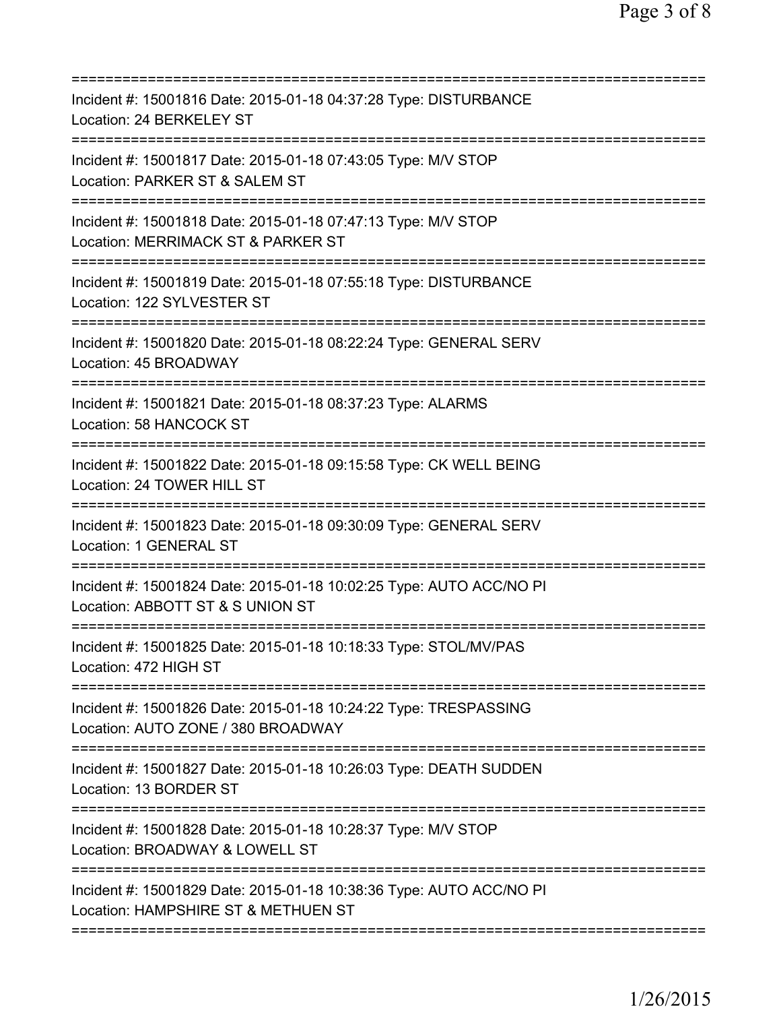| Incident #: 15001816 Date: 2015-01-18 04:37:28 Type: DISTURBANCE<br>Location: 24 BERKELEY ST                                                      |
|---------------------------------------------------------------------------------------------------------------------------------------------------|
| Incident #: 15001817 Date: 2015-01-18 07:43:05 Type: M/V STOP<br>Location: PARKER ST & SALEM ST<br>===========================<br>=============== |
| Incident #: 15001818 Date: 2015-01-18 07:47:13 Type: M/V STOP<br>Location: MERRIMACK ST & PARKER ST                                               |
| Incident #: 15001819 Date: 2015-01-18 07:55:18 Type: DISTURBANCE<br>Location: 122 SYLVESTER ST                                                    |
| Incident #: 15001820 Date: 2015-01-18 08:22:24 Type: GENERAL SERV<br>Location: 45 BROADWAY                                                        |
| Incident #: 15001821 Date: 2015-01-18 08:37:23 Type: ALARMS<br>Location: 58 HANCOCK ST                                                            |
| Incident #: 15001822 Date: 2015-01-18 09:15:58 Type: CK WELL BEING<br>Location: 24 TOWER HILL ST                                                  |
| Incident #: 15001823 Date: 2015-01-18 09:30:09 Type: GENERAL SERV<br>Location: 1 GENERAL ST                                                       |
| Incident #: 15001824 Date: 2015-01-18 10:02:25 Type: AUTO ACC/NO PI<br>Location: ABBOTT ST & S UNION ST                                           |
| Incident #: 15001825 Date: 2015-01-18 10:18:33 Type: STOL/MV/PAS<br>Location: 472 HIGH ST                                                         |
| Incident #: 15001826 Date: 2015-01-18 10:24:22 Type: TRESPASSING<br>Location: AUTO ZONE / 380 BROADWAY                                            |
| Incident #: 15001827 Date: 2015-01-18 10:26:03 Type: DEATH SUDDEN<br>Location: 13 BORDER ST                                                       |
| Incident #: 15001828 Date: 2015-01-18 10:28:37 Type: M/V STOP<br>Location: BROADWAY & LOWELL ST                                                   |
| Incident #: 15001829 Date: 2015-01-18 10:38:36 Type: AUTO ACC/NO PI<br>Location: HAMPSHIRE ST & METHUEN ST                                        |
|                                                                                                                                                   |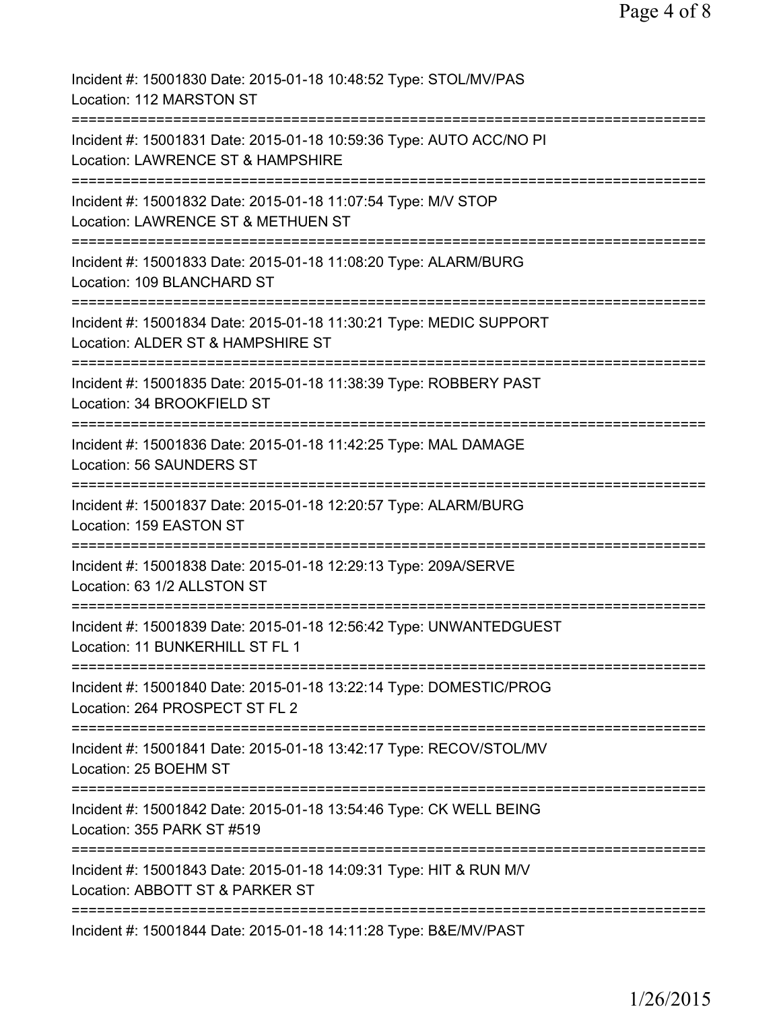| Incident #: 15001830 Date: 2015-01-18 10:48:52 Type: STOL/MV/PAS<br>Location: 112 MARSTON ST             |
|----------------------------------------------------------------------------------------------------------|
| Incident #: 15001831 Date: 2015-01-18 10:59:36 Type: AUTO ACC/NO PI<br>Location: LAWRENCE ST & HAMPSHIRE |
| Incident #: 15001832 Date: 2015-01-18 11:07:54 Type: M/V STOP<br>Location: LAWRENCE ST & METHUEN ST      |
| Incident #: 15001833 Date: 2015-01-18 11:08:20 Type: ALARM/BURG<br>Location: 109 BLANCHARD ST            |
| Incident #: 15001834 Date: 2015-01-18 11:30:21 Type: MEDIC SUPPORT<br>Location: ALDER ST & HAMPSHIRE ST  |
| Incident #: 15001835 Date: 2015-01-18 11:38:39 Type: ROBBERY PAST<br>Location: 34 BROOKFIELD ST          |
| Incident #: 15001836 Date: 2015-01-18 11:42:25 Type: MAL DAMAGE<br>Location: 56 SAUNDERS ST              |
| Incident #: 15001837 Date: 2015-01-18 12:20:57 Type: ALARM/BURG<br>Location: 159 EASTON ST               |
| Incident #: 15001838 Date: 2015-01-18 12:29:13 Type: 209A/SERVE<br>Location: 63 1/2 ALLSTON ST           |
| Incident #: 15001839 Date: 2015-01-18 12:56:42 Type: UNWANTEDGUEST<br>Location: 11 BUNKERHILL ST FL 1    |
| Incident #: 15001840 Date: 2015-01-18 13:22:14 Type: DOMESTIC/PROG<br>Location: 264 PROSPECT ST FL 2     |
| Incident #: 15001841 Date: 2015-01-18 13:42:17 Type: RECOV/STOL/MV<br>Location: 25 BOEHM ST              |
| Incident #: 15001842 Date: 2015-01-18 13:54:46 Type: CK WELL BEING<br>Location: 355 PARK ST #519         |
| Incident #: 15001843 Date: 2015-01-18 14:09:31 Type: HIT & RUN M/V<br>Location: ABBOTT ST & PARKER ST    |
| Incident #: 15001844 Date: 2015-01-18 14:11:28 Type: B&E/MV/PAST                                         |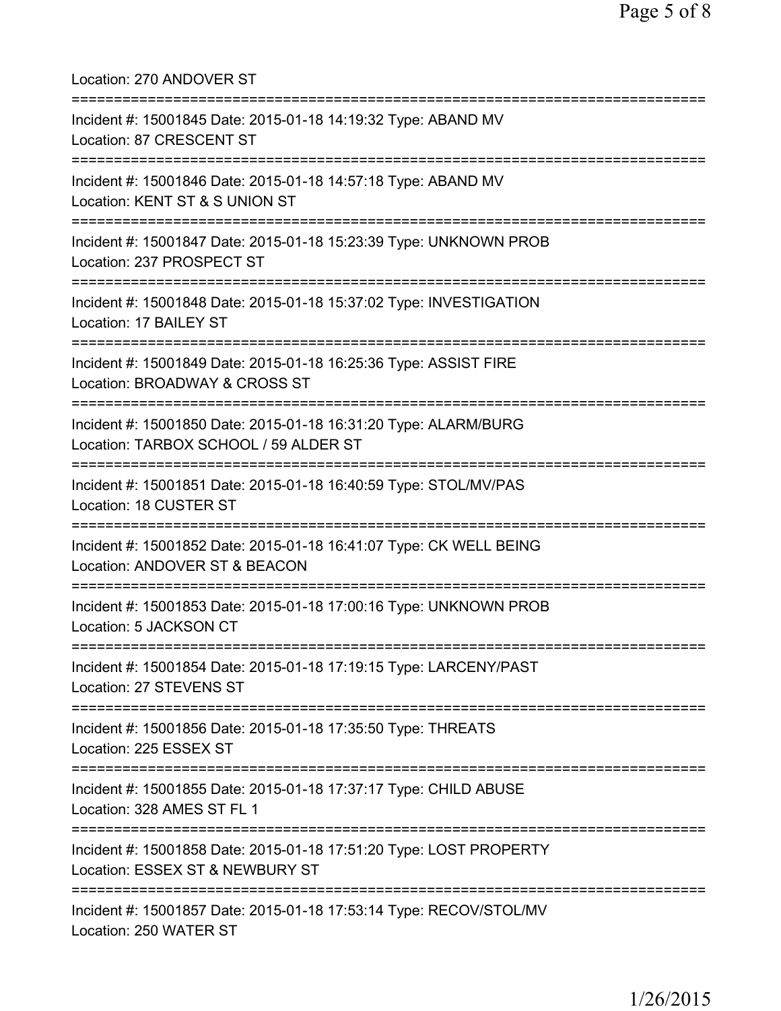| Location: 270 ANDOVER ST                                                                                                              |
|---------------------------------------------------------------------------------------------------------------------------------------|
| Incident #: 15001845 Date: 2015-01-18 14:19:32 Type: ABAND MV<br>Location: 87 CRESCENT ST                                             |
| Incident #: 15001846 Date: 2015-01-18 14:57:18 Type: ABAND MV<br>Location: KENT ST & S UNION ST<br>================================   |
| Incident #: 15001847 Date: 2015-01-18 15:23:39 Type: UNKNOWN PROB<br>Location: 237 PROSPECT ST                                        |
| Incident #: 15001848 Date: 2015-01-18 15:37:02 Type: INVESTIGATION<br>Location: 17 BAILEY ST                                          |
| =============================<br>Incident #: 15001849 Date: 2015-01-18 16:25:36 Type: ASSIST FIRE<br>Location: BROADWAY & CROSS ST    |
| Incident #: 15001850 Date: 2015-01-18 16:31:20 Type: ALARM/BURG<br>Location: TARBOX SCHOOL / 59 ALDER ST                              |
| Incident #: 15001851 Date: 2015-01-18 16:40:59 Type: STOL/MV/PAS<br>Location: 18 CUSTER ST                                            |
| Incident #: 15001852 Date: 2015-01-18 16:41:07 Type: CK WELL BEING<br>Location: ANDOVER ST & BEACON                                   |
| Incident #: 15001853 Date: 2015-01-18 17:00:16 Type: UNKNOWN PROB<br>Location: 5 JACKSON CT                                           |
| Incident #: 15001854 Date: 2015-01-18 17:19:15 Type: LARCENY/PAST<br>Location: 27 STEVENS ST                                          |
| Incident #: 15001856 Date: 2015-01-18 17:35:50 Type: THREATS<br>Location: 225 ESSEX ST                                                |
| :==================================<br>Incident #: 15001855 Date: 2015-01-18 17:37:17 Type: CHILD ABUSE<br>Location: 328 AMES ST FL 1 |
| ------------------------<br>Incident #: 15001858 Date: 2015-01-18 17:51:20 Type: LOST PROPERTY<br>Location: ESSEX ST & NEWBURY ST     |
| :===========<br>Incident #: 15001857 Date: 2015-01-18 17:53:14 Type: RECOV/STOL/MV<br>Location: 250 WATER ST                          |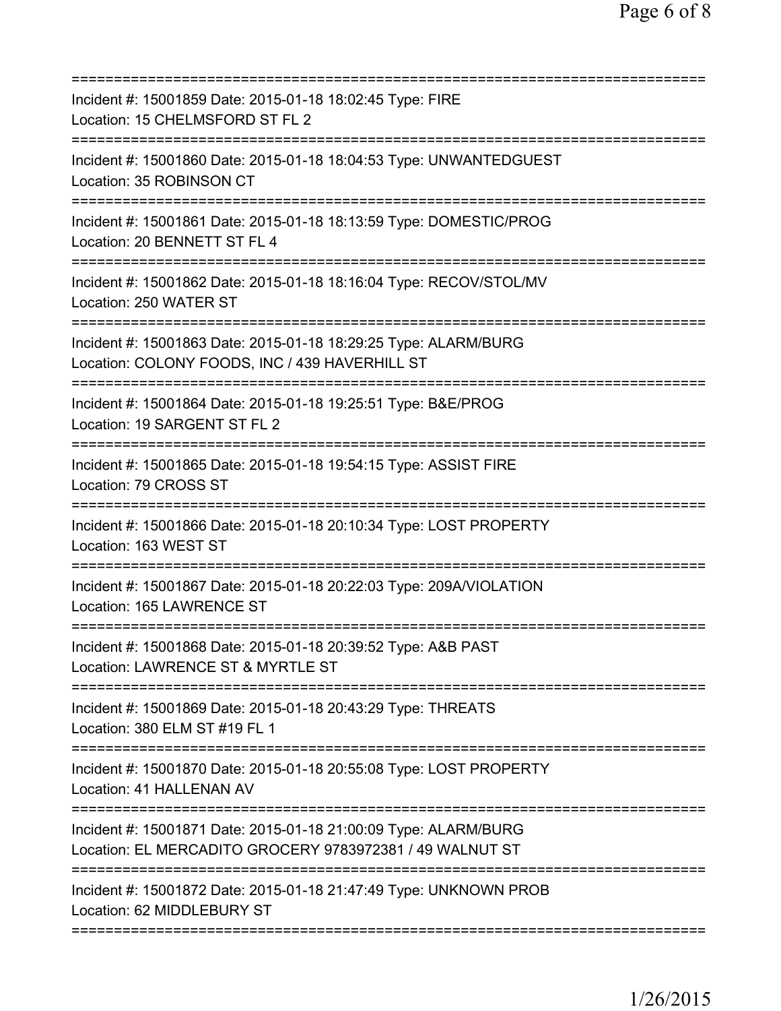| Incident #: 15001859 Date: 2015-01-18 18:02:45 Type: FIRE<br>Location: 15 CHELMSFORD ST FL 2                                         |
|--------------------------------------------------------------------------------------------------------------------------------------|
| Incident #: 15001860 Date: 2015-01-18 18:04:53 Type: UNWANTEDGUEST<br>Location: 35 ROBINSON CT                                       |
| Incident #: 15001861 Date: 2015-01-18 18:13:59 Type: DOMESTIC/PROG<br>Location: 20 BENNETT ST FL 4                                   |
| Incident #: 15001862 Date: 2015-01-18 18:16:04 Type: RECOV/STOL/MV<br>Location: 250 WATER ST                                         |
| Incident #: 15001863 Date: 2015-01-18 18:29:25 Type: ALARM/BURG<br>Location: COLONY FOODS, INC / 439 HAVERHILL ST                    |
| ===================================<br>Incident #: 15001864 Date: 2015-01-18 19:25:51 Type: B&E/PROG<br>Location: 19 SARGENT ST FL 2 |
| Incident #: 15001865 Date: 2015-01-18 19:54:15 Type: ASSIST FIRE<br>Location: 79 CROSS ST                                            |
| Incident #: 15001866 Date: 2015-01-18 20:10:34 Type: LOST PROPERTY<br>Location: 163 WEST ST                                          |
| Incident #: 15001867 Date: 2015-01-18 20:22:03 Type: 209A/VIOLATION<br>Location: 165 LAWRENCE ST                                     |
| Incident #: 15001868 Date: 2015-01-18 20:39:52 Type: A&B PAST<br>Location: LAWRENCE ST & MYRTLE ST                                   |
| Incident #: 15001869 Date: 2015-01-18 20:43:29 Type: THREATS<br>Location: 380 ELM ST #19 FL 1                                        |
| Incident #: 15001870 Date: 2015-01-18 20:55:08 Type: LOST PROPERTY<br>Location: 41 HALLENAN AV                                       |
| Incident #: 15001871 Date: 2015-01-18 21:00:09 Type: ALARM/BURG<br>Location: EL MERCADITO GROCERY 9783972381 / 49 WALNUT ST          |
| Incident #: 15001872 Date: 2015-01-18 21:47:49 Type: UNKNOWN PROB<br>Location: 62 MIDDLEBURY ST                                      |
|                                                                                                                                      |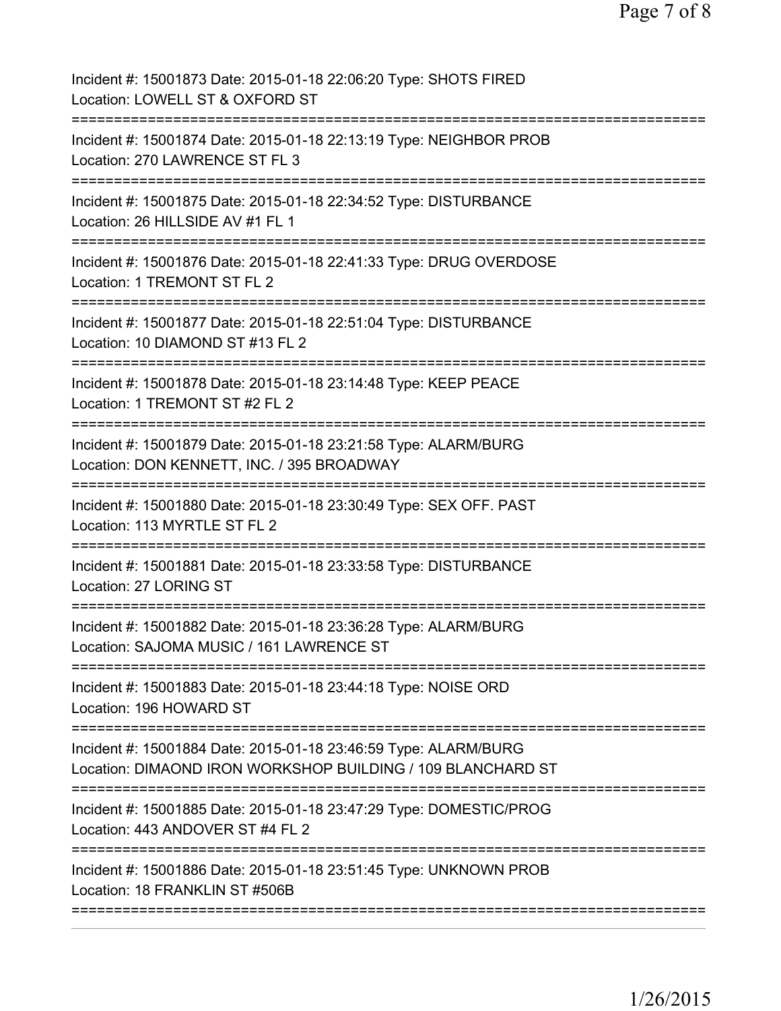| Incident #: 15001873 Date: 2015-01-18 22:06:20 Type: SHOTS FIRED<br>Location: LOWELL ST & OXFORD ST                                |
|------------------------------------------------------------------------------------------------------------------------------------|
| Incident #: 15001874 Date: 2015-01-18 22:13:19 Type: NEIGHBOR PROB<br>Location: 270 LAWRENCE ST FL 3                               |
| Incident #: 15001875 Date: 2015-01-18 22:34:52 Type: DISTURBANCE<br>Location: 26 HILLSIDE AV #1 FL 1                               |
| Incident #: 15001876 Date: 2015-01-18 22:41:33 Type: DRUG OVERDOSE<br>Location: 1 TREMONT ST FL 2                                  |
| Incident #: 15001877 Date: 2015-01-18 22:51:04 Type: DISTURBANCE<br>Location: 10 DIAMOND ST #13 FL 2                               |
| Incident #: 15001878 Date: 2015-01-18 23:14:48 Type: KEEP PEACE<br>Location: 1 TREMONT ST #2 FL 2                                  |
| Incident #: 15001879 Date: 2015-01-18 23:21:58 Type: ALARM/BURG<br>Location: DON KENNETT, INC. / 395 BROADWAY                      |
| Incident #: 15001880 Date: 2015-01-18 23:30:49 Type: SEX OFF. PAST<br>Location: 113 MYRTLE ST FL 2                                 |
| Incident #: 15001881 Date: 2015-01-18 23:33:58 Type: DISTURBANCE<br>Location: 27 LORING ST                                         |
| ===================<br>Incident #: 15001882 Date: 2015-01-18 23:36:28 Type: ALARM/BURG<br>Location: SAJOMA MUSIC / 161 LAWRENCE ST |
| :====================================<br>Incident #: 15001883 Date: 2015-01-18 23:44:18 Type: NOISE ORD<br>Location: 196 HOWARD ST |
| Incident #: 15001884 Date: 2015-01-18 23:46:59 Type: ALARM/BURG<br>Location: DIMAOND IRON WORKSHOP BUILDING / 109 BLANCHARD ST     |
| Incident #: 15001885 Date: 2015-01-18 23:47:29 Type: DOMESTIC/PROG<br>Location: 443 ANDOVER ST #4 FL 2                             |
| Incident #: 15001886 Date: 2015-01-18 23:51:45 Type: UNKNOWN PROB<br>Location: 18 FRANKLIN ST #506B                                |
|                                                                                                                                    |